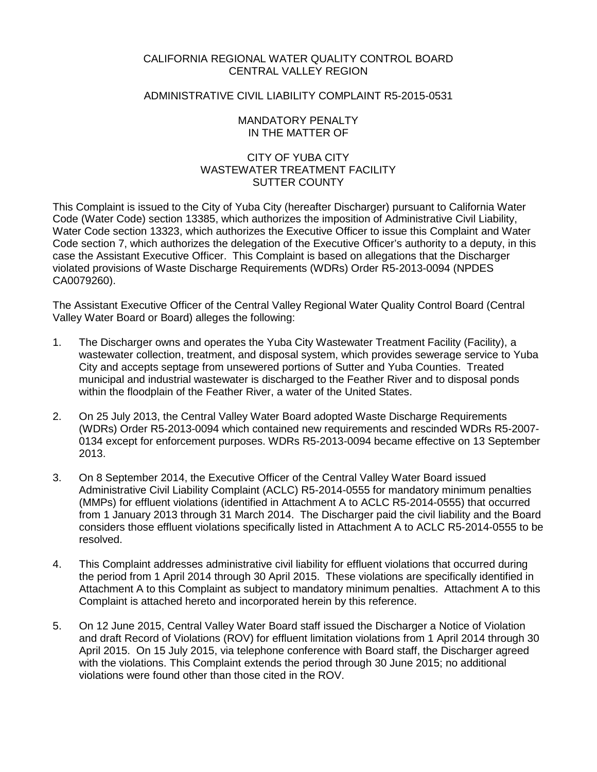# CALIFORNIA REGIONAL WATER QUALITY CONTROL BOARD CENTRAL VALLEY REGION

# ADMINISTRATIVE CIVIL LIABILITY COMPLAINT R5-2015-0531

### MANDATORY PENALTY IN THE MATTER OF

# CITY OF YUBA CITY WASTEWATER TREATMENT FACILITY SUTTER COUNTY

This Complaint is issued to the City of Yuba City (hereafter Discharger) pursuant to California Water Code (Water Code) section 13385, which authorizes the imposition of Administrative Civil Liability, Water Code section 13323, which authorizes the Executive Officer to issue this Complaint and Water Code section 7, which authorizes the delegation of the Executive Officer's authority to a deputy, in this case the Assistant Executive Officer. This Complaint is based on allegations that the Discharger violated provisions of Waste Discharge Requirements (WDRs) Order R5-2013-0094 (NPDES CA0079260).

The Assistant Executive Officer of the Central Valley Regional Water Quality Control Board (Central Valley Water Board or Board) alleges the following:

- 1. The Discharger owns and operates the Yuba City Wastewater Treatment Facility (Facility), a wastewater collection, treatment, and disposal system, which provides sewerage service to Yuba City and accepts septage from unsewered portions of Sutter and Yuba Counties. Treated municipal and industrial wastewater is discharged to the Feather River and to disposal ponds within the floodplain of the Feather River, a water of the United States.
- 2. On 25 July 2013, the Central Valley Water Board adopted Waste Discharge Requirements (WDRs) Order R5-2013-0094 which contained new requirements and rescinded WDRs R5-2007- 0134 except for enforcement purposes. WDRs R5-2013-0094 became effective on 13 September 2013.
- 3. On 8 September 2014, the Executive Officer of the Central Valley Water Board issued Administrative Civil Liability Complaint (ACLC) R5-2014-0555 for mandatory minimum penalties (MMPs) for effluent violations (identified in Attachment A to ACLC R5-2014-0555) that occurred from 1 January 2013 through 31 March 2014. The Discharger paid the civil liability and the Board considers those effluent violations specifically listed in Attachment A to ACLC R5-2014-0555 to be resolved.
- 4. This Complaint addresses administrative civil liability for effluent violations that occurred during the period from 1 April 2014 through 30 April 2015. These violations are specifically identified in Attachment A to this Complaint as subject to mandatory minimum penalties. Attachment A to this Complaint is attached hereto and incorporated herein by this reference.
- 5. On 12 June 2015, Central Valley Water Board staff issued the Discharger a Notice of Violation and draft Record of Violations (ROV) for effluent limitation violations from 1 April 2014 through 30 April 2015. On 15 July 2015, via telephone conference with Board staff, the Discharger agreed with the violations. This Complaint extends the period through 30 June 2015; no additional violations were found other than those cited in the ROV.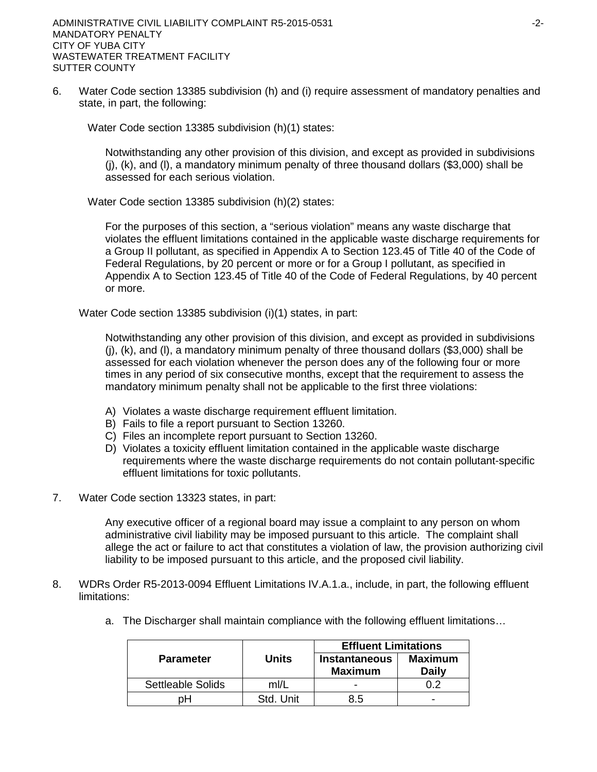6. Water Code section 13385 subdivision (h) and (i) require assessment of mandatory penalties and state, in part, the following:

Water Code section 13385 subdivision (h)(1) states:

Notwithstanding any other provision of this division, and except as provided in subdivisions (j), (k), and (l), a mandatory minimum penalty of three thousand dollars (\$3,000) shall be assessed for each serious violation.

Water Code section 13385 subdivision (h)(2) states:

For the purposes of this section, a "serious violation" means any waste discharge that violates the effluent limitations contained in the applicable waste discharge requirements for a Group II pollutant, as specified in Appendix A to Section 123.45 of Title 40 of the Code of Federal Regulations, by 20 percent or more or for a Group I pollutant, as specified in Appendix A to Section 123.45 of Title 40 of the Code of Federal Regulations, by 40 percent or more.

Water Code section 13385 subdivision (i)(1) states, in part:

Notwithstanding any other provision of this division, and except as provided in subdivisions (j), (k), and (l), a mandatory minimum penalty of three thousand dollars (\$3,000) shall be assessed for each violation whenever the person does any of the following four or more times in any period of six consecutive months, except that the requirement to assess the mandatory minimum penalty shall not be applicable to the first three violations:

- A) Violates a waste discharge requirement effluent limitation.
- B) Fails to file a report pursuant to Section 13260.
- C) Files an incomplete report pursuant to Section 13260.
- D) Violates a toxicity effluent limitation contained in the applicable waste discharge requirements where the waste discharge requirements do not contain pollutant-specific effluent limitations for toxic pollutants.
- 7. Water Code section 13323 states, in part:

Any executive officer of a regional board may issue a complaint to any person on whom administrative civil liability may be imposed pursuant to this article. The complaint shall allege the act or failure to act that constitutes a violation of law, the provision authorizing civil liability to be imposed pursuant to this article, and the proposed civil liability.

- 8. WDRs Order R5-2013-0094 Effluent Limitations IV.A.1.a., include, in part, the following effluent limitations:
	- a. The Discharger shall maintain compliance with the following effluent limitations…

|                          |           | <b>Effluent Limitations</b>            |                         |  |
|--------------------------|-----------|----------------------------------------|-------------------------|--|
| <b>Parameter</b>         | Units     | <b>Instantaneous</b><br><b>Maximum</b> | <b>Maximum</b><br>Daily |  |
| <b>Settleable Solids</b> | ml/L      |                                        |                         |  |
| oН                       | Std. Unit | 8.5                                    | -                       |  |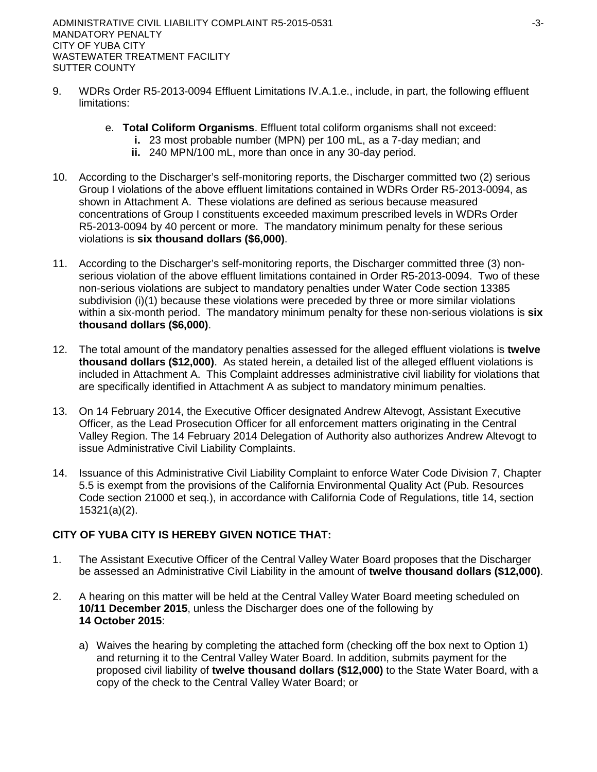- 9. WDRs Order R5-2013-0094 Effluent Limitations IV.A.1.e., include, in part, the following effluent limitations:
	- e. **Total Coliform Organisms**. Effluent total coliform organisms shall not exceed:
		- **i.** 23 most probable number (MPN) per 100 mL, as a 7-day median; and
			- **ii.** 240 MPN/100 mL, more than once in any 30-day period.
- 10. According to the Discharger's self-monitoring reports, the Discharger committed two (2) serious Group I violations of the above effluent limitations contained in WDRs Order R5-2013-0094, as shown in Attachment A. These violations are defined as serious because measured concentrations of Group I constituents exceeded maximum prescribed levels in WDRs Order R5-2013-0094 by 40 percent or more. The mandatory minimum penalty for these serious violations is **six thousand dollars (\$6,000)**.
- 11. According to the Discharger's self-monitoring reports, the Discharger committed three (3) nonserious violation of the above effluent limitations contained in Order R5-2013-0094. Two of these non-serious violations are subject to mandatory penalties under Water Code section 13385 subdivision (i)(1) because these violations were preceded by three or more similar violations within a six-month period. The mandatory minimum penalty for these non-serious violations is **six thousand dollars (\$6,000)**.
- 12. The total amount of the mandatory penalties assessed for the alleged effluent violations is **twelve thousand dollars (\$12,000)**.As stated herein, a detailed list of the alleged effluent violations is included in Attachment A. This Complaint addresses administrative civil liability for violations that are specifically identified in Attachment A as subject to mandatory minimum penalties.
- 13. On 14 February 2014, the Executive Officer designated Andrew Altevogt, Assistant Executive Officer, as the Lead Prosecution Officer for all enforcement matters originating in the Central Valley Region. The 14 February 2014 Delegation of Authority also authorizes Andrew Altevogt to issue Administrative Civil Liability Complaints.
- 14. Issuance of this Administrative Civil Liability Complaint to enforce Water Code Division 7, Chapter 5.5 is exempt from the provisions of the California Environmental Quality Act (Pub. Resources Code section 21000 et seq.), in accordance with California Code of Regulations, title 14, section 15321(a)(2).

# **CITY OF YUBA CITY IS HEREBY GIVEN NOTICE THAT:**

- 1. The Assistant Executive Officer of the Central Valley Water Board proposes that the Discharger be assessed an Administrative Civil Liability in the amount of **twelve thousand dollars (\$12,000)**.
- 2. A hearing on this matter will be held at the Central Valley Water Board meeting scheduled on **10/11 December 2015**, unless the Discharger does one of the following by **14 October 2015**:
	- a) Waives the hearing by completing the attached form (checking off the box next to Option 1) and returning it to the Central Valley Water Board. In addition, submits payment for the proposed civil liability of **twelve thousand dollars (\$12,000)** to the State Water Board, with a copy of the check to the Central Valley Water Board; or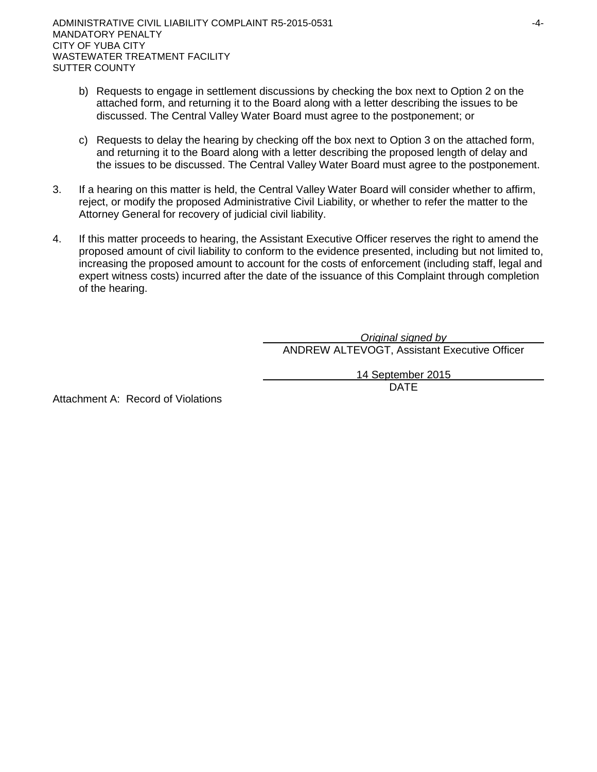- b) Requests to engage in settlement discussions by checking the box next to Option 2 on the attached form, and returning it to the Board along with a letter describing the issues to be discussed. The Central Valley Water Board must agree to the postponement; or
- c) Requests to delay the hearing by checking off the box next to Option 3 on the attached form, and returning it to the Board along with a letter describing the proposed length of delay and the issues to be discussed. The Central Valley Water Board must agree to the postponement.
- 3. If a hearing on this matter is held, the Central Valley Water Board will consider whether to affirm, reject, or modify the proposed Administrative Civil Liability, or whether to refer the matter to the Attorney General for recovery of judicial civil liability.
- 4. If this matter proceeds to hearing, the Assistant Executive Officer reserves the right to amend the proposed amount of civil liability to conform to the evidence presented, including but not limited to, increasing the proposed amount to account for the costs of enforcement (including staff, legal and expert witness costs) incurred after the date of the issuance of this Complaint through completion of the hearing.

*Original signed by* ANDREW ALTEVOGT, Assistant Executive Officer

14 September 2015

DATE

Attachment A: Record of Violations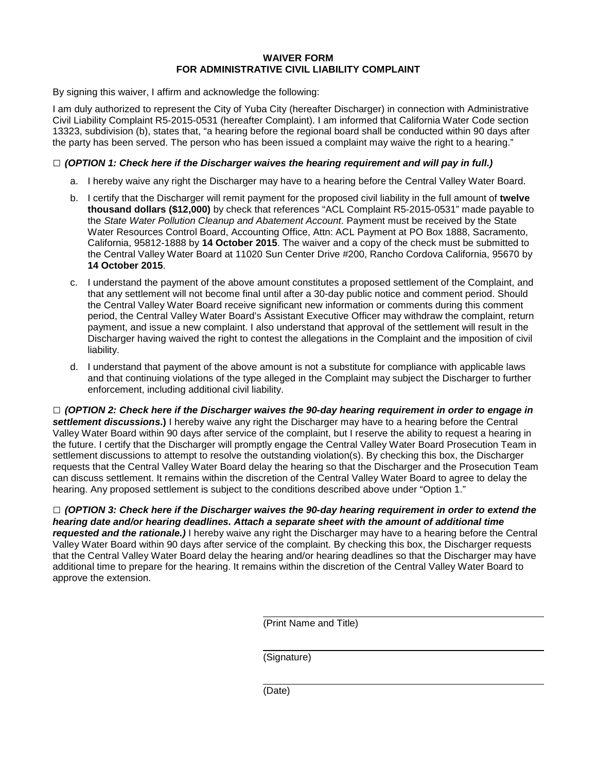### **WAIVER FORM FOR ADMINISTRATIVE CIVIL LIABILITY COMPLAINT**

By signing this waiver, I affirm and acknowledge the following:

I am duly authorized to represent the City of Yuba City (hereafter Discharger) in connection with Administrative Civil Liability Complaint R5-2015-0531 (hereafter Complaint). I am informed that California Water Code section 13323, subdivision (b), states that, "a hearing before the regional board shall be conducted within 90 days after the party has been served. The person who has been issued a complaint may waive the right to a hearing."

### **□** *(OPTION 1: Check here if the Discharger waives the hearing requirement and will pay in full.)*

- a. I hereby waive any right the Discharger may have to a hearing before the Central Valley Water Board.
- b. I certify that the Discharger will remit payment for the proposed civil liability in the full amount of **twelve thousand dollars (\$12,000)** by check that references "ACL Complaint R5-2015-0531" made payable to the *State Water Pollution Cleanup and Abatement Account*. Payment must be received by the State Water Resources Control Board, Accounting Office, Attn: ACL Payment at PO Box 1888, Sacramento, California, 95812-1888 by **14 October 2015**. The waiver and a copy of the check must be submitted to the Central Valley Water Board at 11020 Sun Center Drive #200, Rancho Cordova California, 95670 by **14 October 2015**.
- c. I understand the payment of the above amount constitutes a proposed settlement of the Complaint, and that any settlement will not become final until after a 30-day public notice and comment period. Should the Central Valley Water Board receive significant new information or comments during this comment period, the Central Valley Water Board's Assistant Executive Officer may withdraw the complaint, return payment, and issue a new complaint. I also understand that approval of the settlement will result in the Discharger having waived the right to contest the allegations in the Complaint and the imposition of civil liability.
- d. I understand that payment of the above amount is not a substitute for compliance with applicable laws and that continuing violations of the type alleged in the Complaint may subject the Discharger to further enforcement, including additional civil liability.

**□** *(OPTION 2: Check here if the Discharger waives the 90-day hearing requirement in order to engage in settlement discussions***.)** I hereby waive any right the Discharger may have to a hearing before the Central Valley Water Board within 90 days after service of the complaint, but I reserve the ability to request a hearing in the future. I certify that the Discharger will promptly engage the Central Valley Water Board Prosecution Team in settlement discussions to attempt to resolve the outstanding violation(s). By checking this box, the Discharger requests that the Central Valley Water Board delay the hearing so that the Discharger and the Prosecution Team can discuss settlement. It remains within the discretion of the Central Valley Water Board to agree to delay the hearing. Any proposed settlement is subject to the conditions described above under "Option 1."

**□** *(OPTION 3: Check here if the Discharger waives the 90-day hearing requirement in order to extend the hearing date and/or hearing deadlines. Attach a separate sheet with the amount of additional time requested and the rationale.)* I hereby waive any right the Discharger may have to a hearing before the Central Valley Water Board within 90 days after service of the complaint. By checking this box, the Discharger requests that the Central Valley Water Board delay the hearing and/or hearing deadlines so that the Discharger may have additional time to prepare for the hearing. It remains within the discretion of the Central Valley Water Board to approve the extension.

(Print Name and Title)

(Signature)

(Date)